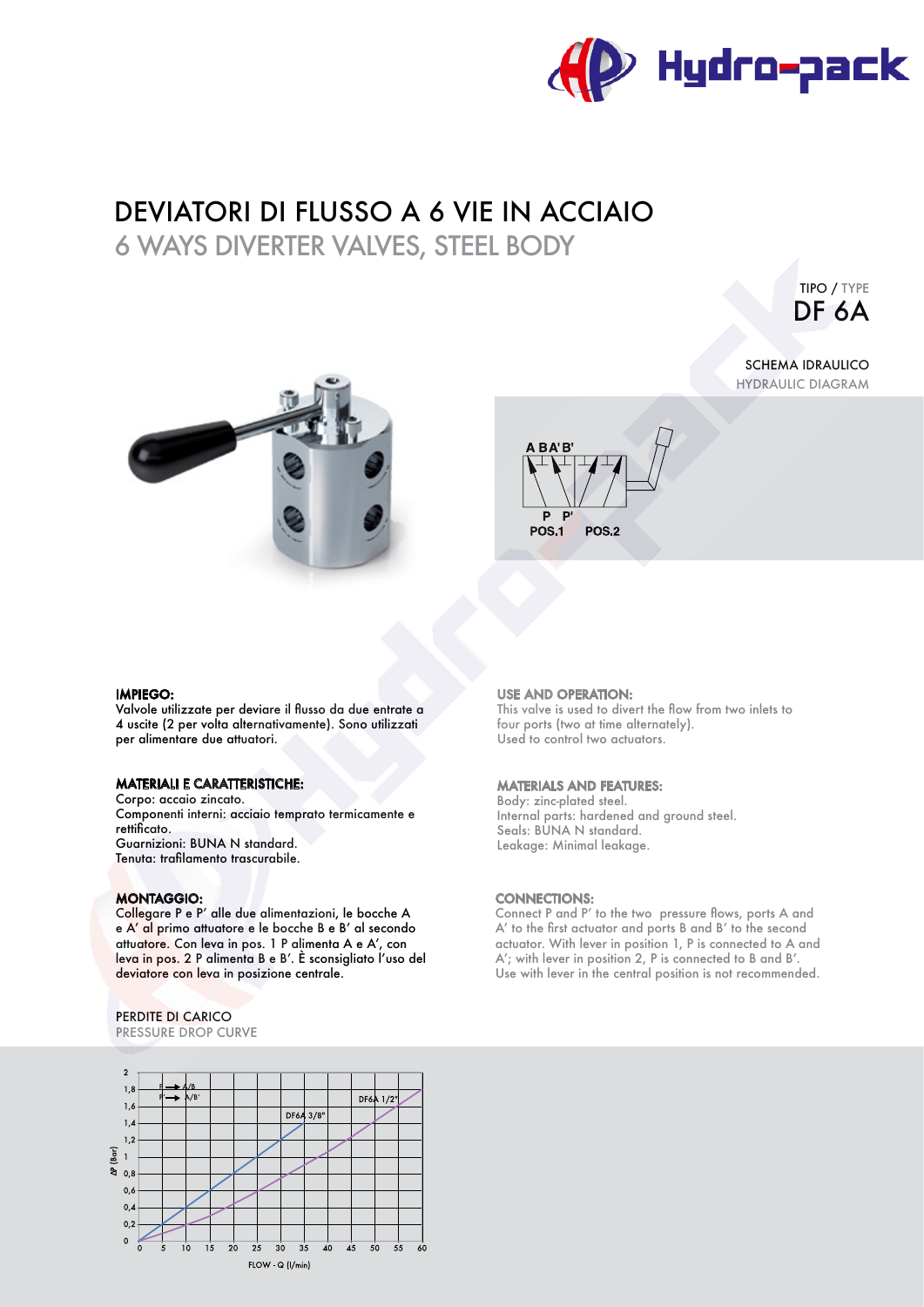

# DEVIATORI DI FLUSSO A 6 VIE IN ACCIAIO

6 WAYS DIVERTER VALVES, STEEL BODY

TIPO / TYPE DF 6A



## SCHEMA IDRAULICO HYDRAULIC DIAGRAM



### IMPIEGO:

Valvole utilizzate per deviare il fusso da due entrate a 4 uscite (2 per volta alternativamente). Sono utilizzati per alimentare due attuatori.

## MATERIALI E CARATTERISTICHE:

Corpo: accaio zincato. Componenti interni: acciaio temprato termicamente e rettificato. Guarnizioni: BUNA N standard. Tenuta: traflamento trascurabile.

## MONTAGGIO:

Collegare P e P' alle due alimentazioni, le bocche A e A' al primo attuatore e le bocche B e B' al secondo attuatore. Con leva in pos. 1 P alimenta A e A', con leva in pos. 2 P alimenta B e B'. È sconsigliato l'uso del deviatore con leva in posizione centrale.

# PERDITE DI CARICO

PRESSURE DROP CURVE



### USE AND OPERATION:

This valve is used to divert the flow from two inlets to four ports (two at time alternately). Used to control two actuators.

### MATERIALS AND FEATURES:

Body: zinc-plated steel. Internal parts: hardened and ground steel. Seals: BUNA N standard. Leakage: Minimal leakage.

## CONNECTIONS:

Connect P and P' to the two pressure flows, ports A and A' to the frst actuator and ports B and B' to the second actuator. With lever in position 1, P is connected to A and A'; with lever in position 2, P is connected to B and B'. Use with lever in the central position is not recommended.